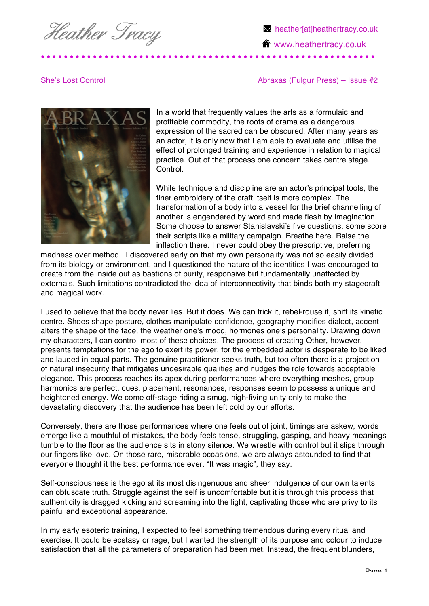Heather Tracy

**M** heather[at]heathertracy.co.uk **<sup>1</sup>** www.heathertracy.co.uk

She's Lost Control **Abray Control Abraxas (Fulgur Press)** – Issue #2



In a world that frequently values the arts as a formulaic and profitable commodity, the roots of drama as a dangerous expression of the sacred can be obscured. After many years as an actor, it is only now that I am able to evaluate and utilise the effect of prolonged training and experience in relation to magical practice. Out of that process one concern takes centre stage. Control.

While technique and discipline are an actor's principal tools, the finer embroidery of the craft itself is more complex. The transformation of a body into a vessel for the brief channelling of another is engendered by word and made flesh by imagination. Some choose to answer Stanislavski's five questions, some score their scripts like a military campaign. Breathe here. Raise the inflection there. I never could obey the prescriptive, preferring

madness over method. I discovered early on that my own personality was not so easily divided from its biology or environment, and I questioned the nature of the identities I was encouraged to create from the inside out as bastions of purity, responsive but fundamentally unaffected by externals. Such limitations contradicted the idea of interconnectivity that binds both my stagecraft and magical work.

I used to believe that the body never lies. But it does. We can trick it, rebel-rouse it, shift its kinetic centre. Shoes shape posture, clothes manipulate confidence, geography modifies dialect, accent alters the shape of the face, the weather one's mood, hormones one's personality. Drawing down my characters, I can control most of these choices. The process of creating Other, however, presents temptations for the ego to exert its power, for the embedded actor is desperate to be liked and lauded in equal parts. The genuine practitioner seeks truth, but too often there is a projection of natural insecurity that mitigates undesirable qualities and nudges the role towards acceptable elegance. This process reaches its apex during performances where everything meshes, group harmonics are perfect, cues, placement, resonances, responses seem to possess a unique and heightened energy. We come off-stage riding a smug, high-fiving unity only to make the devastating discovery that the audience has been left cold by our efforts.

Conversely, there are those performances where one feels out of joint, timings are askew, words emerge like a mouthful of mistakes, the body feels tense, struggling, gasping, and heavy meanings tumble to the floor as the audience sits in stony silence. We wrestle with control but it slips through our fingers like love. On those rare, miserable occasions, we are always astounded to find that everyone thought it the best performance ever. "It was magic", they say.

Self-consciousness is the ego at its most disingenuous and sheer indulgence of our own talents can obfuscate truth. Struggle against the self is uncomfortable but it is through this process that authenticity is dragged kicking and screaming into the light, captivating those who are privy to its painful and exceptional appearance.

In my early esoteric training, I expected to feel something tremendous during every ritual and exercise. It could be ecstasy or rage, but I wanted the strength of its purpose and colour to induce satisfaction that all the parameters of preparation had been met. Instead, the frequent blunders,